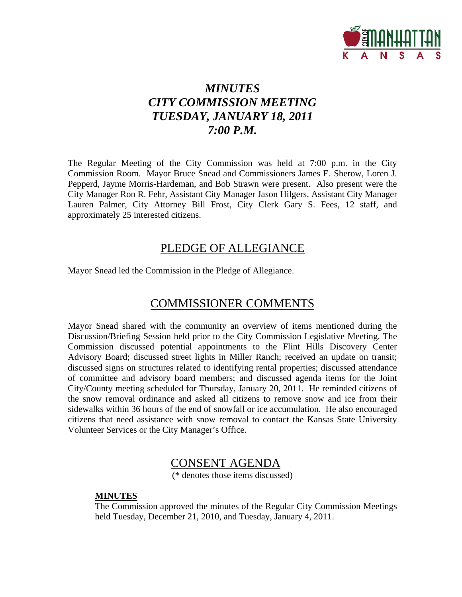

# *MINUTES CITY COMMISSION MEETING TUESDAY, JANUARY 18, 2011 7:00 P.M.*

The Regular Meeting of the City Commission was held at 7:00 p.m. in the City Commission Room. Mayor Bruce Snead and Commissioners James E. Sherow, Loren J. Pepperd, Jayme Morris-Hardeman, and Bob Strawn were present. Also present were the City Manager Ron R. Fehr, Assistant City Manager Jason Hilgers, Assistant City Manager Lauren Palmer, City Attorney Bill Frost, City Clerk Gary S. Fees, 12 staff, and approximately 25 interested citizens.

# PLEDGE OF ALLEGIANCE

Mayor Snead led the Commission in the Pledge of Allegiance.

# COMMISSIONER COMMENTS

Mayor Snead shared with the community an overview of items mentioned during the Discussion/Briefing Session held prior to the City Commission Legislative Meeting. The Commission discussed potential appointments to the Flint Hills Discovery Center Advisory Board; discussed street lights in Miller Ranch; received an update on transit; discussed signs on structures related to identifying rental properties; discussed attendance of committee and advisory board members; and discussed agenda items for the Joint City/County meeting scheduled for Thursday, January 20, 2011. He reminded citizens of the snow removal ordinance and asked all citizens to remove snow and ice from their sidewalks within 36 hours of the end of snowfall or ice accumulation. He also encouraged citizens that need assistance with snow removal to contact the Kansas State University Volunteer Services or the City Manager's Office.

# CONSENT AGENDA

(\* denotes those items discussed)

### **MINUTES**

The Commission approved the minutes of the Regular City Commission Meetings held Tuesday, December 21, 2010, and Tuesday, January 4, 2011.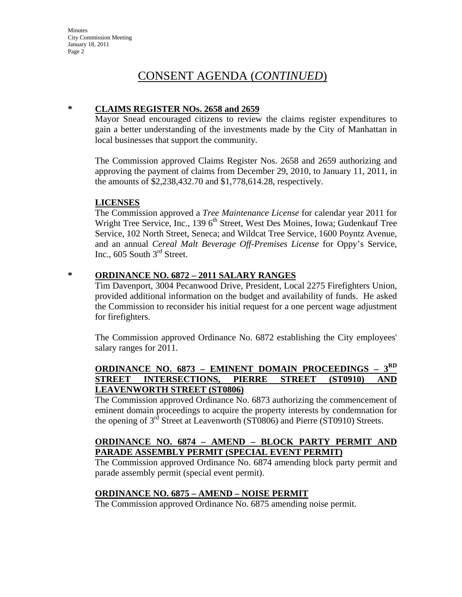## **\* CLAIMS REGISTER NOs. 2658 and 2659**

Mayor Snead encouraged citizens to review the claims register expenditures to gain a better understanding of the investments made by the City of Manhattan in local businesses that support the community.

The Commission approved Claims Register Nos. 2658 and 2659 authorizing and approving the payment of claims from December 29, 2010, to January 11, 2011, in the amounts of \$2,238,432.70 and \$1,778,614.28, respectively.

# **LICENSES**

The Commission approved a *Tree Maintenance License* for calendar year 2011 for Wright Tree Service, Inc., 139 6<sup>th</sup> Street, West Des Moines, Iowa; Gudenkauf Tree Service, 102 North Street, Seneca; and Wildcat Tree Service, 1600 Poyntz Avenue, and an annual *Cereal Malt Beverage Off-Premises License* for Oppy's Service, Inc.,  $605$  South  $3<sup>rd</sup>$  Street.

# **\* ORDINANCE NO. 6872 – 2011 SALARY RANGES**

Tim Davenport, 3004 Pecanwood Drive, President, Local 2275 Firefighters Union, provided additional information on the budget and availability of funds. He asked the Commission to reconsider his initial request for a one percent wage adjustment for firefighters.

The Commission approved Ordinance No. 6872 establishing the City employees' salary ranges for 2011.

# **ORDINANCE NO. 6873 – EMINENT DOMAIN PROCEEDINGS – 3RD STREET INTERSECTIONS, PIERRE STREET (ST0910) AND LEAVENWORTH STREET (ST0806)**

The Commission approved Ordinance No. 6873 authorizing the commencement of eminent domain proceedings to acquire the property interests by condemnation for the opening of  $3^{rd}$  Street at Leavenworth (ST0806) and Pierre (ST0910) Streets.

# **ORDINANCE NO. 6874 – AMEND – BLOCK PARTY PERMIT AND PARADE ASSEMBLY PERMIT (SPECIAL EVENT PERMIT)**

The Commission approved Ordinance No. 6874 amending block party permit and parade assembly permit (special event permit).

# **ORDINANCE NO. 6875 – AMEND – NOISE PERMIT**

The Commission approved Ordinance No. 6875 amending noise permit.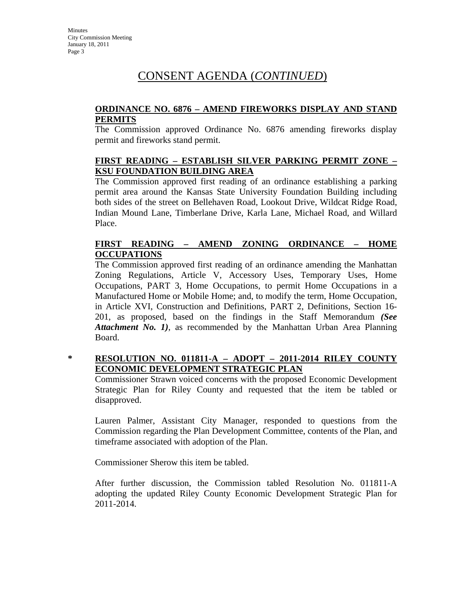# **ORDINANCE NO. 6876 – AMEND FIREWORKS DISPLAY AND STAND PERMITS**

The Commission approved Ordinance No. 6876 amending fireworks display permit and fireworks stand permit.

# **FIRST READING – ESTABLISH SILVER PARKING PERMIT ZONE – KSU FOUNDATION BUILDING AREA**

The Commission approved first reading of an ordinance establishing a parking permit area around the Kansas State University Foundation Building including both sides of the street on Bellehaven Road, Lookout Drive, Wildcat Ridge Road, Indian Mound Lane, Timberlane Drive, Karla Lane, Michael Road, and Willard Place.

# **FIRST READING – AMEND ZONING ORDINANCE – HOME OCCUPATIONS**

The Commission approved first reading of an ordinance amending the Manhattan Zoning Regulations, Article V, Accessory Uses, Temporary Uses, Home Occupations, PART 3, Home Occupations, to permit Home Occupations in a Manufactured Home or Mobile Home; and, to modify the term, Home Occupation, in Article XVI, Construction and Definitions, PART 2, Definitions, Section 16- 201, as proposed, based on the findings in the Staff Memorandum *(See Attachment No. 1)*, as recommended by the Manhattan Urban Area Planning Board.

# **\* RESOLUTION NO. 011811-A – ADOPT – 2011-2014 RILEY COUNTY ECONOMIC DEVELOPMENT STRATEGIC PLAN**

Commissioner Strawn voiced concerns with the proposed Economic Development Strategic Plan for Riley County and requested that the item be tabled or disapproved.

Lauren Palmer, Assistant City Manager, responded to questions from the Commission regarding the Plan Development Committee, contents of the Plan, and timeframe associated with adoption of the Plan.

Commissioner Sherow this item be tabled.

After further discussion, the Commission tabled Resolution No. 011811-A adopting the updated Riley County Economic Development Strategic Plan for 2011-2014.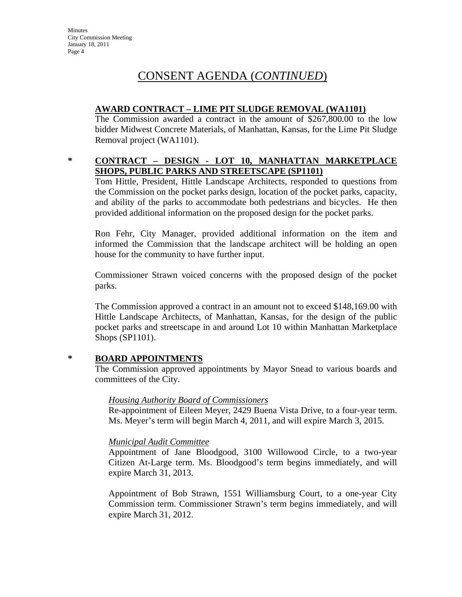# **AWARD CONTRACT – LIME PIT SLUDGE REMOVAL (WA1101)**

The Commission awarded a contract in the amount of \$267,800.00 to the low bidder Midwest Concrete Materials, of Manhattan, Kansas, for the Lime Pit Sludge Removal project (WA1101).

# **\* CONTRACT – DESIGN - LOT 10, MANHATTAN MARKETPLACE SHOPS, PUBLIC PARKS AND STREETSCAPE (SP1101)**

Tom Hittle, President, Hittle Landscape Architects, responded to questions from the Commission on the pocket parks design, location of the pocket parks, capacity, and ability of the parks to accommodate both pedestrians and bicycles. He then provided additional information on the proposed design for the pocket parks.

Ron Fehr, City Manager, provided additional information on the item and informed the Commission that the landscape architect will be holding an open house for the community to have further input.

Commissioner Strawn voiced concerns with the proposed design of the pocket parks.

The Commission approved a contract in an amount not to exceed \$148,169.00 with Hittle Landscape Architects, of Manhattan, Kansas, for the design of the public pocket parks and streetscape in and around Lot 10 within Manhattan Marketplace Shops (SP1101).

# **\* BOARD APPOINTMENTS**

The Commission approved appointments by Mayor Snead to various boards and committees of the City.

# *Housing Authority Board of Commissioners*

Re-appointment of Eileen Meyer, 2429 Buena Vista Drive, to a four-year term. Ms. Meyer's term will begin March 4, 2011, and will expire March 3, 2015.

# *Municipal Audit Committee*

Appointment of Jane Bloodgood, 3100 Willowood Circle, to a two-year Citizen At-Large term. Ms. Bloodgood's term begins immediately, and will expire March 31, 2013.

Appointment of Bob Strawn, 1551 Williamsburg Court, to a one-year City Commission term. Commissioner Strawn's term begins immediately, and will expire March 31, 2012.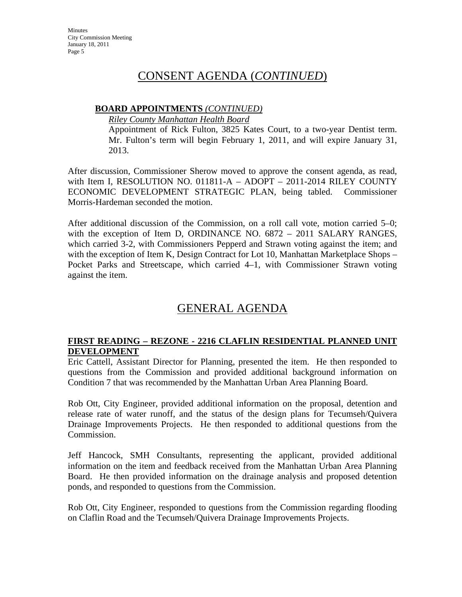## **BOARD APPOINTMENTS** *(CONTINUED)*

*Riley County Manhattan Health Board*

Appointment of Rick Fulton, 3825 Kates Court, to a two-year Dentist term. Mr. Fulton's term will begin February 1, 2011, and will expire January 31, 2013.

After discussion, Commissioner Sherow moved to approve the consent agenda, as read, with Item I, RESOLUTION NO. 011811-A – ADOPT – 2011-2014 RILEY COUNTY ECONOMIC DEVELOPMENT STRATEGIC PLAN, being tabled. Commissioner Morris-Hardeman seconded the motion.

After additional discussion of the Commission, on a roll call vote, motion carried 5–0; with the exception of Item D, ORDINANCE NO. 6872 – 2011 SALARY RANGES, which carried 3-2, with Commissioners Pepperd and Strawn voting against the item; and with the exception of Item K, Design Contract for Lot 10, Manhattan Marketplace Shops – Pocket Parks and Streetscape, which carried 4–1, with Commissioner Strawn voting against the item.

# GENERAL AGENDA

# **FIRST READING – REZONE - 2216 CLAFLIN RESIDENTIAL PLANNED UNIT DEVELOPMENT**

Eric Cattell, Assistant Director for Planning, presented the item. He then responded to questions from the Commission and provided additional background information on Condition 7 that was recommended by the Manhattan Urban Area Planning Board.

Rob Ott, City Engineer, provided additional information on the proposal, detention and release rate of water runoff, and the status of the design plans for Tecumseh/Quivera Drainage Improvements Projects. He then responded to additional questions from the Commission.

Jeff Hancock, SMH Consultants, representing the applicant, provided additional information on the item and feedback received from the Manhattan Urban Area Planning Board. He then provided information on the drainage analysis and proposed detention ponds, and responded to questions from the Commission.

Rob Ott, City Engineer, responded to questions from the Commission regarding flooding on Claflin Road and the Tecumseh/Quivera Drainage Improvements Projects.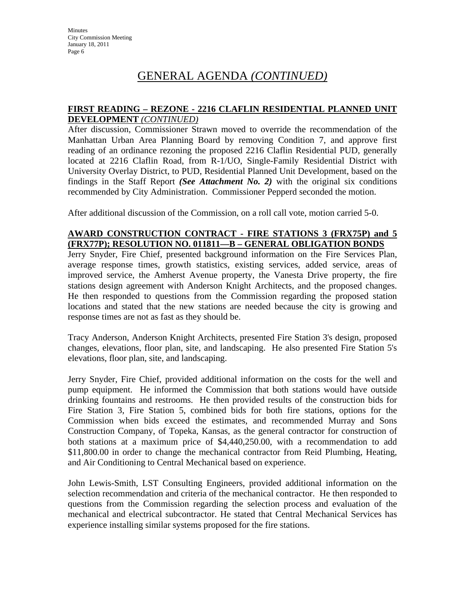### **FIRST READING – REZONE - 2216 CLAFLIN RESIDENTIAL PLANNED UNIT DEVELOPMENT** *(CONTINUED)*

After discussion, Commissioner Strawn moved to override the recommendation of the Manhattan Urban Area Planning Board by removing Condition 7, and approve first reading of an ordinance rezoning the proposed 2216 Claflin Residential PUD, generally located at 2216 Claflin Road, from R-1/UO, Single-Family Residential District with University Overlay District, to PUD, Residential Planned Unit Development, based on the findings in the Staff Report *(See Attachment No. 2)* with the original six conditions recommended by City Administration. Commissioner Pepperd seconded the motion.

After additional discussion of the Commission, on a roll call vote, motion carried 5-0.

## **AWARD CONSTRUCTION CONTRACT - FIRE STATIONS 3 (FRX75P) and 5 (FRX77P); RESOLUTION NO. 011811—B – GENERAL OBLIGATION BONDS**

Jerry Snyder, Fire Chief, presented background information on the Fire Services Plan, average response times, growth statistics, existing services, added service, areas of improved service, the Amherst Avenue property, the Vanesta Drive property, the fire stations design agreement with Anderson Knight Architects, and the proposed changes. He then responded to questions from the Commission regarding the proposed station locations and stated that the new stations are needed because the city is growing and response times are not as fast as they should be.

Tracy Anderson, Anderson Knight Architects, presented Fire Station 3's design, proposed changes, elevations, floor plan, site, and landscaping. He also presented Fire Station 5's elevations, floor plan, site, and landscaping.

Jerry Snyder, Fire Chief, provided additional information on the costs for the well and pump equipment. He informed the Commission that both stations would have outside drinking fountains and restrooms. He then provided results of the construction bids for Fire Station 3, Fire Station 5, combined bids for both fire stations, options for the Commission when bids exceed the estimates, and recommended Murray and Sons Construction Company, of Topeka, Kansas, as the general contractor for construction of both stations at a maximum price of \$4,440,250.00, with a recommendation to add \$11,800.00 in order to change the mechanical contractor from Reid Plumbing, Heating, and Air Conditioning to Central Mechanical based on experience.

John Lewis-Smith, LST Consulting Engineers, provided additional information on the selection recommendation and criteria of the mechanical contractor. He then responded to questions from the Commission regarding the selection process and evaluation of the mechanical and electrical subcontractor. He stated that Central Mechanical Services has experience installing similar systems proposed for the fire stations.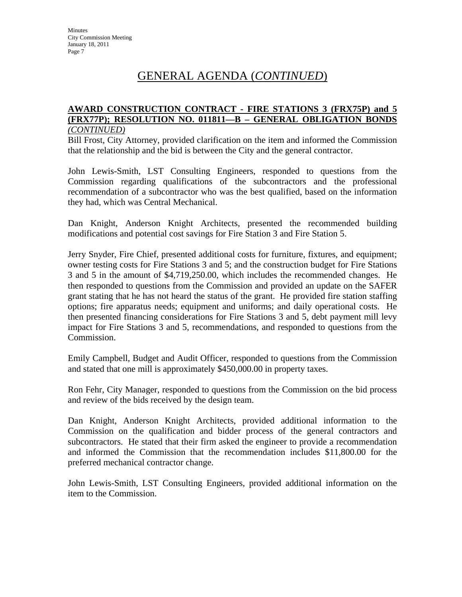### **AWARD CONSTRUCTION CONTRACT - FIRE STATIONS 3 (FRX75P) and 5 (FRX77P); RESOLUTION NO. 011811—B – GENERAL OBLIGATION BONDS**  *(CONTINUED)*

Bill Frost, City Attorney, provided clarification on the item and informed the Commission that the relationship and the bid is between the City and the general contractor.

John Lewis-Smith, LST Consulting Engineers, responded to questions from the Commission regarding qualifications of the subcontractors and the professional recommendation of a subcontractor who was the best qualified, based on the information they had, which was Central Mechanical.

Dan Knight, Anderson Knight Architects, presented the recommended building modifications and potential cost savings for Fire Station 3 and Fire Station 5.

Jerry Snyder, Fire Chief, presented additional costs for furniture, fixtures, and equipment; owner testing costs for Fire Stations 3 and 5; and the construction budget for Fire Stations 3 and 5 in the amount of \$4,719,250.00, which includes the recommended changes. He then responded to questions from the Commission and provided an update on the SAFER grant stating that he has not heard the status of the grant. He provided fire station staffing options; fire apparatus needs; equipment and uniforms; and daily operational costs. He then presented financing considerations for Fire Stations 3 and 5, debt payment mill levy impact for Fire Stations 3 and 5, recommendations, and responded to questions from the Commission.

Emily Campbell, Budget and Audit Officer, responded to questions from the Commission and stated that one mill is approximately \$450,000.00 in property taxes.

Ron Fehr, City Manager, responded to questions from the Commission on the bid process and review of the bids received by the design team.

Dan Knight, Anderson Knight Architects, provided additional information to the Commission on the qualification and bidder process of the general contractors and subcontractors. He stated that their firm asked the engineer to provide a recommendation and informed the Commission that the recommendation includes \$11,800.00 for the preferred mechanical contractor change.

John Lewis-Smith, LST Consulting Engineers, provided additional information on the item to the Commission.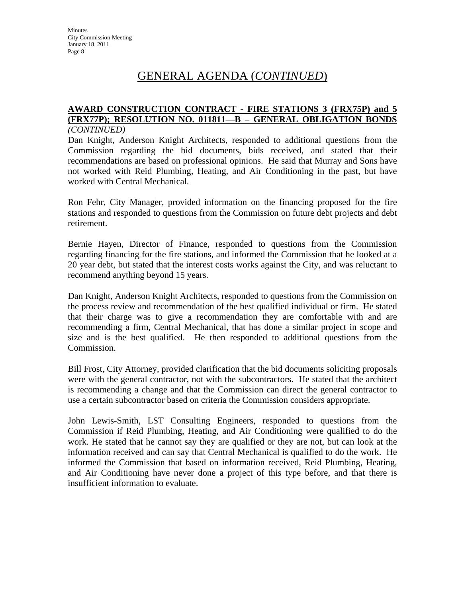### **AWARD CONSTRUCTION CONTRACT - FIRE STATIONS 3 (FRX75P) and 5 (FRX77P); RESOLUTION NO. 011811—B – GENERAL OBLIGATION BONDS**  *(CONTINUED)*

Dan Knight, Anderson Knight Architects, responded to additional questions from the Commission regarding the bid documents, bids received, and stated that their recommendations are based on professional opinions. He said that Murray and Sons have not worked with Reid Plumbing, Heating, and Air Conditioning in the past, but have worked with Central Mechanical.

Ron Fehr, City Manager, provided information on the financing proposed for the fire stations and responded to questions from the Commission on future debt projects and debt retirement.

Bernie Hayen, Director of Finance, responded to questions from the Commission regarding financing for the fire stations, and informed the Commission that he looked at a 20 year debt, but stated that the interest costs works against the City, and was reluctant to recommend anything beyond 15 years.

Dan Knight, Anderson Knight Architects, responded to questions from the Commission on the process review and recommendation of the best qualified individual or firm. He stated that their charge was to give a recommendation they are comfortable with and are recommending a firm, Central Mechanical, that has done a similar project in scope and size and is the best qualified. He then responded to additional questions from the Commission.

Bill Frost, City Attorney, provided clarification that the bid documents soliciting proposals were with the general contractor, not with the subcontractors. He stated that the architect is recommending a change and that the Commission can direct the general contractor to use a certain subcontractor based on criteria the Commission considers appropriate.

John Lewis-Smith, LST Consulting Engineers, responded to questions from the Commission if Reid Plumbing, Heating, and Air Conditioning were qualified to do the work. He stated that he cannot say they are qualified or they are not, but can look at the information received and can say that Central Mechanical is qualified to do the work. He informed the Commission that based on information received, Reid Plumbing, Heating, and Air Conditioning have never done a project of this type before, and that there is insufficient information to evaluate.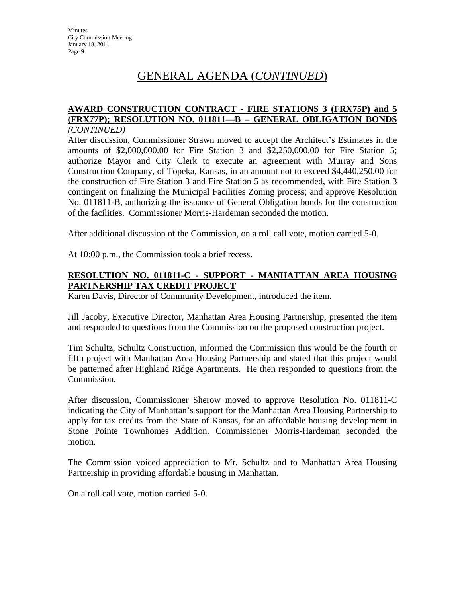### **AWARD CONSTRUCTION CONTRACT - FIRE STATIONS 3 (FRX75P) and 5 (FRX77P); RESOLUTION NO. 011811—B – GENERAL OBLIGATION BONDS**  *(CONTINUED)*

After discussion, Commissioner Strawn moved to accept the Architect's Estimates in the amounts of \$2,000,000.00 for Fire Station 3 and \$2,250,000.00 for Fire Station 5; authorize Mayor and City Clerk to execute an agreement with Murray and Sons Construction Company, of Topeka, Kansas, in an amount not to exceed \$4,440,250.00 for the construction of Fire Station 3 and Fire Station 5 as recommended, with Fire Station 3 contingent on finalizing the Municipal Facilities Zoning process; and approve Resolution No. 011811-B, authorizing the issuance of General Obligation bonds for the construction of the facilities. Commissioner Morris-Hardeman seconded the motion.

After additional discussion of the Commission, on a roll call vote, motion carried 5-0.

At 10:00 p.m., the Commission took a brief recess.

# **RESOLUTION NO. 011811-C - SUPPORT - MANHATTAN AREA HOUSING PARTNERSHIP TAX CREDIT PROJECT**

Karen Davis, Director of Community Development, introduced the item.

Jill Jacoby, Executive Director, Manhattan Area Housing Partnership, presented the item and responded to questions from the Commission on the proposed construction project.

Tim Schultz, Schultz Construction, informed the Commission this would be the fourth or fifth project with Manhattan Area Housing Partnership and stated that this project would be patterned after Highland Ridge Apartments. He then responded to questions from the Commission.

After discussion, Commissioner Sherow moved to approve Resolution No. 011811-C indicating the City of Manhattan's support for the Manhattan Area Housing Partnership to apply for tax credits from the State of Kansas, for an affordable housing development in Stone Pointe Townhomes Addition. Commissioner Morris-Hardeman seconded the motion.

The Commission voiced appreciation to Mr. Schultz and to Manhattan Area Housing Partnership in providing affordable housing in Manhattan.

On a roll call vote, motion carried 5-0.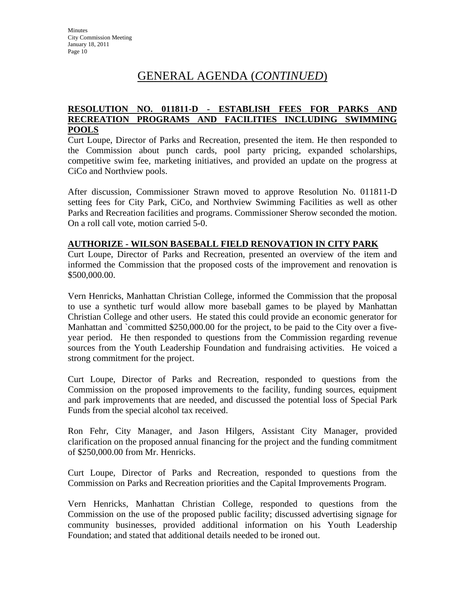## **RESOLUTION NO. 011811-D - ESTABLISH FEES FOR PARKS AND RECREATION PROGRAMS AND FACILITIES INCLUDING SWIMMING POOLS**

Curt Loupe, Director of Parks and Recreation, presented the item. He then responded to the Commission about punch cards, pool party pricing, expanded scholarships, competitive swim fee, marketing initiatives, and provided an update on the progress at CiCo and Northview pools.

After discussion, Commissioner Strawn moved to approve Resolution No. 011811-D setting fees for City Park, CiCo, and Northview Swimming Facilities as well as other Parks and Recreation facilities and programs. Commissioner Sherow seconded the motion. On a roll call vote, motion carried 5-0.

## **AUTHORIZE - WILSON BASEBALL FIELD RENOVATION IN CITY PARK**

Curt Loupe, Director of Parks and Recreation, presented an overview of the item and informed the Commission that the proposed costs of the improvement and renovation is \$500,000.00.

Vern Henricks, Manhattan Christian College, informed the Commission that the proposal to use a synthetic turf would allow more baseball games to be played by Manhattan Christian College and other users. He stated this could provide an economic generator for Manhattan and `committed \$250,000.00 for the project, to be paid to the City over a fiveyear period. He then responded to questions from the Commission regarding revenue sources from the Youth Leadership Foundation and fundraising activities. He voiced a strong commitment for the project.

Curt Loupe, Director of Parks and Recreation, responded to questions from the Commission on the proposed improvements to the facility, funding sources, equipment and park improvements that are needed, and discussed the potential loss of Special Park Funds from the special alcohol tax received.

Ron Fehr, City Manager, and Jason Hilgers, Assistant City Manager, provided clarification on the proposed annual financing for the project and the funding commitment of \$250,000.00 from Mr. Henricks.

Curt Loupe, Director of Parks and Recreation, responded to questions from the Commission on Parks and Recreation priorities and the Capital Improvements Program.

Vern Henricks, Manhattan Christian College, responded to questions from the Commission on the use of the proposed public facility; discussed advertising signage for community businesses, provided additional information on his Youth Leadership Foundation; and stated that additional details needed to be ironed out.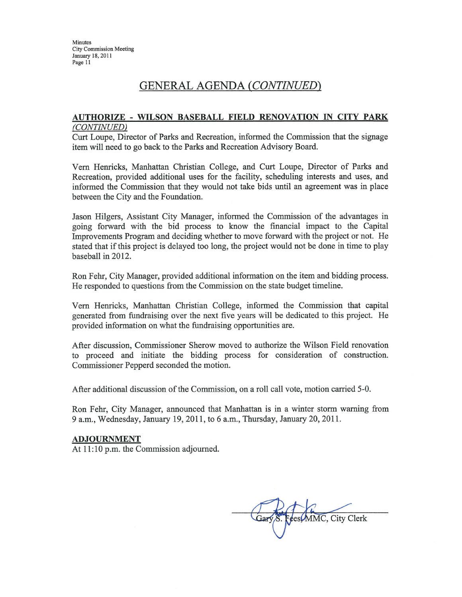### AUTHORIZE - WILSON BASEBALL FIELD RENOVATION IN CITY PARK (CONTINUED)

Curt Loupe, Director of Parks and Recreation, informed the Commission that the signage item will need to go back to the Parks and Recreation Advisory Board.

Vern Henricks, Manhattan Christian College, and Curt Loupe, Director of Parks and Recreation, provided additional uses for the facility, scheduling interests and uses, and informed the Commission that they would not take bids until an agreement was in place between the City and the Foundation.

Jason Hilgers, Assistant City Manager, informed the Commission of the advantages in going forward with the bid process to know the financial impact to the Capital Improvements Program and deciding whether to move forward with the project or not. He stated that if this project is delayed too long, the project would not be done in time to play baseball in 2012.

Ron Fehr, City Manager, provided additional information on the item and bidding process. He responded to questions from the Commission on the state budget timeline.

Vern Henricks, Manhattan Christian College, informed the Commission that capital generated from fundraising over the next five years will be dedicated to this project. He provided information on what the fundraising opportunities are.

After discussion, Commissioner Sherow moved to authorize the Wilson Field renovation to proceed and initiate the bidding process for consideration of construction. Commissioner Pepperd seconded the motion.

After additional discussion of the Commission, on a roll call vote, motion carried 5-0.

Ron Fehr, City Manager, announced that Manhattan is in a winter storm warning from 9 a.m., Wednesday, January 19, 2011, to 6 a.m., Thursday, January 20, 2011.

### **ADJOURNMENT**

At 11:10 p.m. the Commission adjourned.

Gary S. Fees MMC, City Clerk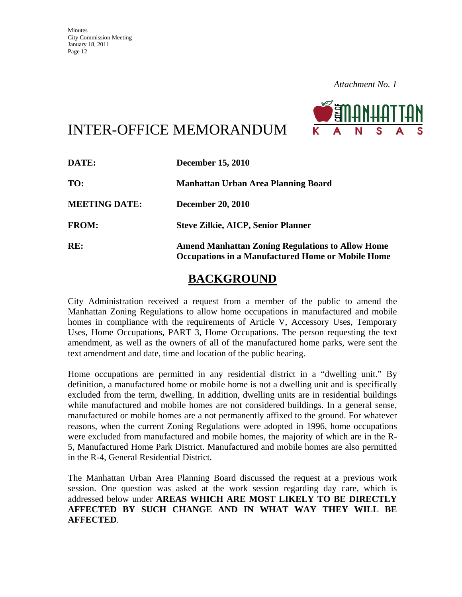

# INTER-OFFICE MEMORANDUM

| DATE:                | <b>December 15, 2010</b>                                                                                            |  |
|----------------------|---------------------------------------------------------------------------------------------------------------------|--|
| TO:                  | <b>Manhattan Urban Area Planning Board</b>                                                                          |  |
| <b>MEETING DATE:</b> | <b>December 20, 2010</b>                                                                                            |  |
| <b>FROM:</b>         | <b>Steve Zilkie, AICP, Senior Planner</b>                                                                           |  |
| RE:                  | <b>Amend Manhattan Zoning Regulations to Allow Home</b><br><b>Occupations in a Manufactured Home or Mobile Home</b> |  |

# **BACKGROUND**

City Administration received a request from a member of the public to amend the Manhattan Zoning Regulations to allow home occupations in manufactured and mobile homes in compliance with the requirements of Article V, Accessory Uses, Temporary Uses, Home Occupations, PART 3, Home Occupations. The person requesting the text amendment, as well as the owners of all of the manufactured home parks, were sent the text amendment and date, time and location of the public hearing.

Home occupations are permitted in any residential district in a "dwelling unit." By definition, a manufactured home or mobile home is not a dwelling unit and is specifically excluded from the term, dwelling. In addition, dwelling units are in residential buildings while manufactured and mobile homes are not considered buildings. In a general sense, manufactured or mobile homes are a not permanently affixed to the ground. For whatever reasons, when the current Zoning Regulations were adopted in 1996, home occupations were excluded from manufactured and mobile homes, the majority of which are in the R-5, Manufactured Home Park District. Manufactured and mobile homes are also permitted in the R-4, General Residential District.

The Manhattan Urban Area Planning Board discussed the request at a previous work session. One question was asked at the work session regarding day care, which is addressed below under **AREAS WHICH ARE MOST LIKELY TO BE DIRECTLY AFFECTED BY SUCH CHANGE AND IN WHAT WAY THEY WILL BE AFFECTED**.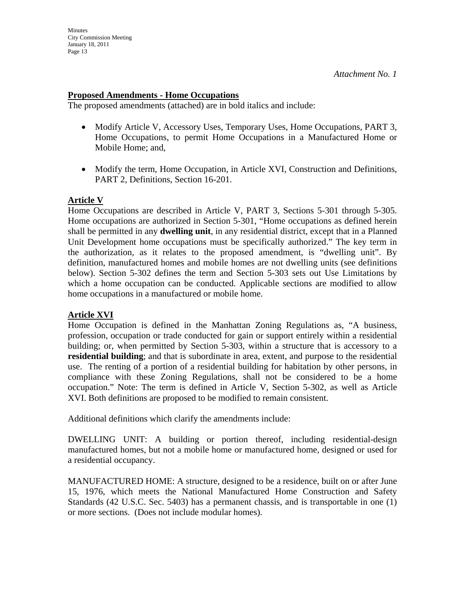## **Proposed Amendments - Home Occupations**

The proposed amendments (attached) are in bold italics and include:

- Modify Article V, Accessory Uses, Temporary Uses, Home Occupations, PART 3, Home Occupations, to permit Home Occupations in a Manufactured Home or Mobile Home; and,
- Modify the term, Home Occupation, in Article XVI, Construction and Definitions, PART 2, Definitions, Section 16-201.

## **Article V**

Home Occupations are described in Article V, PART 3, Sections 5-301 through 5-305. Home occupations are authorized in Section 5-301, "Home occupations as defined herein shall be permitted in any **dwelling unit**, in any residential district, except that in a Planned Unit Development home occupations must be specifically authorized." The key term in the authorization, as it relates to the proposed amendment, is "dwelling unit". By definition, manufactured homes and mobile homes are not dwelling units (see definitions below). Section 5-302 defines the term and Section 5-303 sets out Use Limitations by which a home occupation can be conducted. Applicable sections are modified to allow home occupations in a manufactured or mobile home.

# **Article XVI**

Home Occupation is defined in the Manhattan Zoning Regulations as, "A business, profession, occupation or trade conducted for gain or support entirely within a residential building; or, when permitted by Section 5-303, within a structure that is accessory to a **residential building**; and that is subordinate in area, extent, and purpose to the residential use. The renting of a portion of a residential building for habitation by other persons, in compliance with these Zoning Regulations, shall not be considered to be a home occupation." Note: The term is defined in Article V, Section 5-302, as well as Article XVI. Both definitions are proposed to be modified to remain consistent.

Additional definitions which clarify the amendments include:

DWELLING UNIT: A building or portion thereof, including residential-design manufactured homes, but not a mobile home or manufactured home, designed or used for a residential occupancy.

MANUFACTURED HOME: A structure, designed to be a residence, built on or after June 15, 1976, which meets the National Manufactured Home Construction and Safety Standards (42 U.S.C. Sec. 5403) has a permanent chassis, and is transportable in one (1) or more sections. (Does not include modular homes).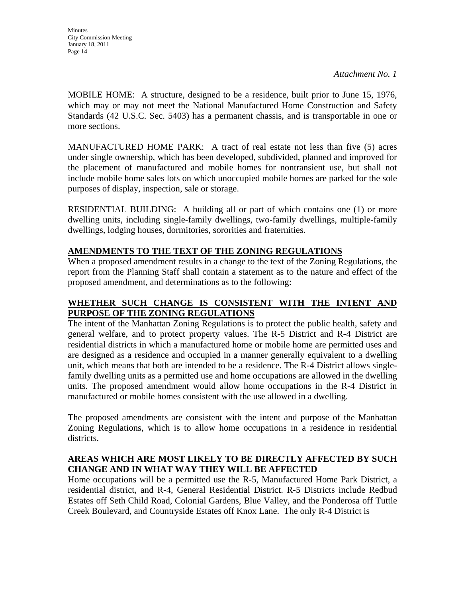*Attachment No. 1* 

MOBILE HOME: A structure, designed to be a residence, built prior to June 15, 1976, which may or may not meet the National Manufactured Home Construction and Safety Standards (42 U.S.C. Sec. 5403) has a permanent chassis, and is transportable in one or more sections.

MANUFACTURED HOME PARK: A tract of real estate not less than five (5) acres under single ownership, which has been developed, subdivided, planned and improved for the placement of manufactured and mobile homes for nontransient use, but shall not include mobile home sales lots on which unoccupied mobile homes are parked for the sole purposes of display, inspection, sale or storage.

RESIDENTIAL BUILDING: A building all or part of which contains one (1) or more dwelling units, including single-family dwellings, two-family dwellings, multiple-family dwellings, lodging houses, dormitories, sororities and fraternities.

# **AMENDMENTS TO THE TEXT OF THE ZONING REGULATIONS**

When a proposed amendment results in a change to the text of the Zoning Regulations, the report from the Planning Staff shall contain a statement as to the nature and effect of the proposed amendment, and determinations as to the following:

# **WHETHER SUCH CHANGE IS CONSISTENT WITH THE INTENT AND PURPOSE OF THE ZONING REGULATIONS**

The intent of the Manhattan Zoning Regulations is to protect the public health, safety and general welfare, and to protect property values. The R-5 District and R-4 District are residential districts in which a manufactured home or mobile home are permitted uses and are designed as a residence and occupied in a manner generally equivalent to a dwelling unit, which means that both are intended to be a residence. The R-4 District allows singlefamily dwelling units as a permitted use and home occupations are allowed in the dwelling units. The proposed amendment would allow home occupations in the R-4 District in manufactured or mobile homes consistent with the use allowed in a dwelling.

The proposed amendments are consistent with the intent and purpose of the Manhattan Zoning Regulations, which is to allow home occupations in a residence in residential districts.

# **AREAS WHICH ARE MOST LIKELY TO BE DIRECTLY AFFECTED BY SUCH CHANGE AND IN WHAT WAY THEY WILL BE AFFECTED**

Home occupations will be a permitted use the R-5, Manufactured Home Park District, a residential district, and R-4, General Residential District. R-5 Districts include Redbud Estates off Seth Child Road, Colonial Gardens, Blue Valley, and the Ponderosa off Tuttle Creek Boulevard, and Countryside Estates off Knox Lane. The only R-4 District is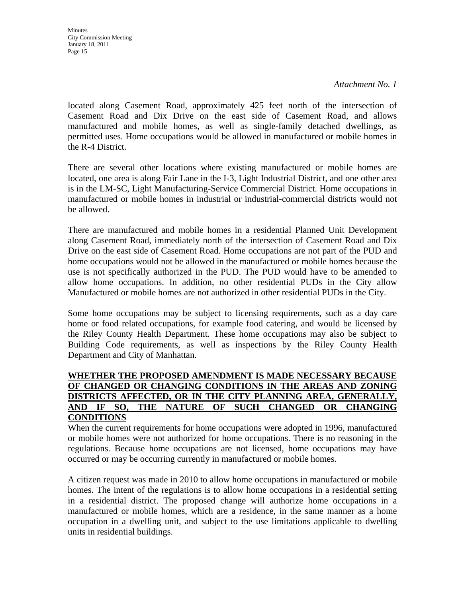*Attachment No. 1* 

located along Casement Road, approximately 425 feet north of the intersection of Casement Road and Dix Drive on the east side of Casement Road, and allows manufactured and mobile homes, as well as single-family detached dwellings, as permitted uses. Home occupations would be allowed in manufactured or mobile homes in the R-4 District.

There are several other locations where existing manufactured or mobile homes are located, one area is along Fair Lane in the I-3, Light Industrial District, and one other area is in the LM-SC, Light Manufacturing-Service Commercial District. Home occupations in manufactured or mobile homes in industrial or industrial-commercial districts would not be allowed.

There are manufactured and mobile homes in a residential Planned Unit Development along Casement Road, immediately north of the intersection of Casement Road and Dix Drive on the east side of Casement Road. Home occupations are not part of the PUD and home occupations would not be allowed in the manufactured or mobile homes because the use is not specifically authorized in the PUD. The PUD would have to be amended to allow home occupations. In addition, no other residential PUDs in the City allow Manufactured or mobile homes are not authorized in other residential PUDs in the City.

Some home occupations may be subject to licensing requirements, such as a day care home or food related occupations, for example food catering, and would be licensed by the Riley County Health Department. These home occupations may also be subject to Building Code requirements, as well as inspections by the Riley County Health Department and City of Manhattan.

## **WHETHER THE PROPOSED AMENDMENT IS MADE NECESSARY BECAUSE OF CHANGED OR CHANGING CONDITIONS IN THE AREAS AND ZONING DISTRICTS AFFECTED, OR IN THE CITY PLANNING AREA, GENERALLY, AND IF SO, THE NATURE OF SUCH CHANGED OR CHANGING CONDITIONS**

When the current requirements for home occupations were adopted in 1996, manufactured or mobile homes were not authorized for home occupations. There is no reasoning in the regulations. Because home occupations are not licensed, home occupations may have occurred or may be occurring currently in manufactured or mobile homes.

A citizen request was made in 2010 to allow home occupations in manufactured or mobile homes. The intent of the regulations is to allow home occupations in a residential setting in a residential district. The proposed change will authorize home occupations in a manufactured or mobile homes, which are a residence, in the same manner as a home occupation in a dwelling unit, and subject to the use limitations applicable to dwelling units in residential buildings.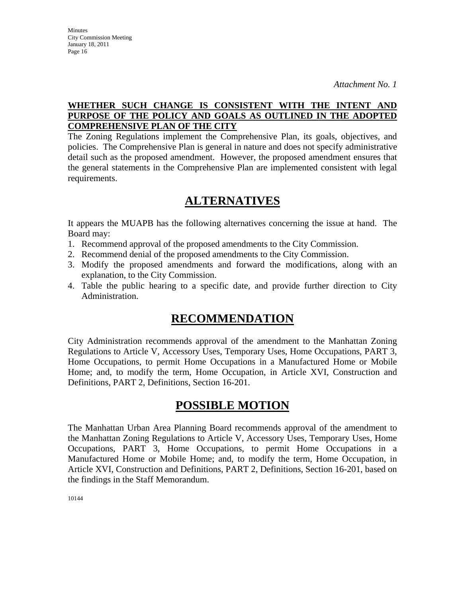# **WHETHER SUCH CHANGE IS CONSISTENT WITH THE INTENT AND PURPOSE OF THE POLICY AND GOALS AS OUTLINED IN THE ADOPTED COMPREHENSIVE PLAN OF THE CITY**

The Zoning Regulations implement the Comprehensive Plan, its goals, objectives, and policies. The Comprehensive Plan is general in nature and does not specify administrative detail such as the proposed amendment. However, the proposed amendment ensures that the general statements in the Comprehensive Plan are implemented consistent with legal requirements.

# **ALTERNATIVES**

It appears the MUAPB has the following alternatives concerning the issue at hand. The Board may:

- 1. Recommend approval of the proposed amendments to the City Commission.
- 2. Recommend denial of the proposed amendments to the City Commission.
- 3. Modify the proposed amendments and forward the modifications, along with an explanation, to the City Commission.
- 4. Table the public hearing to a specific date, and provide further direction to City Administration.

# **RECOMMENDATION**

City Administration recommends approval of the amendment to the Manhattan Zoning Regulations to Article V, Accessory Uses, Temporary Uses, Home Occupations, PART 3, Home Occupations, to permit Home Occupations in a Manufactured Home or Mobile Home; and, to modify the term, Home Occupation, in Article XVI, Construction and Definitions, PART 2, Definitions, Section 16-201.

# **POSSIBLE MOTION**

The Manhattan Urban Area Planning Board recommends approval of the amendment to the Manhattan Zoning Regulations to Article V, Accessory Uses, Temporary Uses, Home Occupations, PART 3, Home Occupations, to permit Home Occupations in a Manufactured Home or Mobile Home; and, to modify the term, Home Occupation, in Article XVI, Construction and Definitions, PART 2, Definitions, Section 16-201, based on the findings in the Staff Memorandum.

10144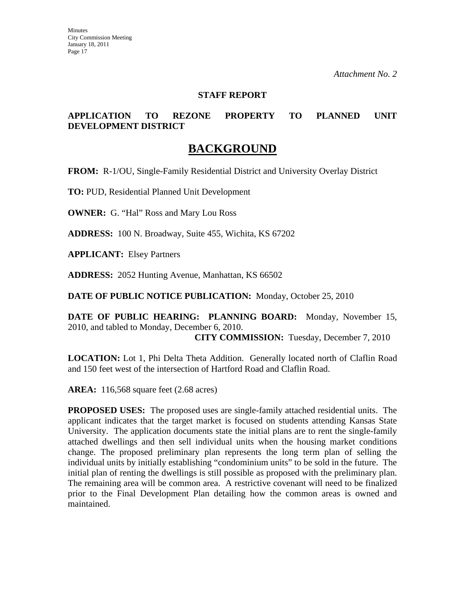## **STAFF REPORT**

# **APPLICATION TO REZONE PROPERTY TO PLANNED UNIT DEVELOPMENT DISTRICT**

# **BACKGROUND**

**FROM:** R-1/OU, Single-Family Residential District and University Overlay District

**TO:** PUD, Residential Planned Unit Development

**OWNER:** G. "Hal" Ross and Mary Lou Ross

**ADDRESS:** 100 N. Broadway, Suite 455, Wichita, KS 67202

**APPLICANT:** Elsey Partners

**ADDRESS:** 2052 Hunting Avenue, Manhattan, KS 66502

**DATE OF PUBLIC NOTICE PUBLICATION:** Monday, October 25, 2010

**DATE OF PUBLIC HEARING: PLANNING BOARD:** Monday, November 15, 2010, and tabled to Monday, December 6, 2010.

**CITY COMMISSION:** Tuesday, December 7, 2010

**LOCATION:** Lot 1, Phi Delta Theta Addition. Generally located north of Claflin Road and 150 feet west of the intersection of Hartford Road and Claflin Road.

**AREA:** 116,568 square feet (2.68 acres)

**PROPOSED USES:** The proposed uses are single-family attached residential units. The applicant indicates that the target market is focused on students attending Kansas State University. The application documents state the initial plans are to rent the single-family attached dwellings and then sell individual units when the housing market conditions change. The proposed preliminary plan represents the long term plan of selling the individual units by initially establishing "condominium units" to be sold in the future. The initial plan of renting the dwellings is still possible as proposed with the preliminary plan. The remaining area will be common area. A restrictive covenant will need to be finalized prior to the Final Development Plan detailing how the common areas is owned and maintained.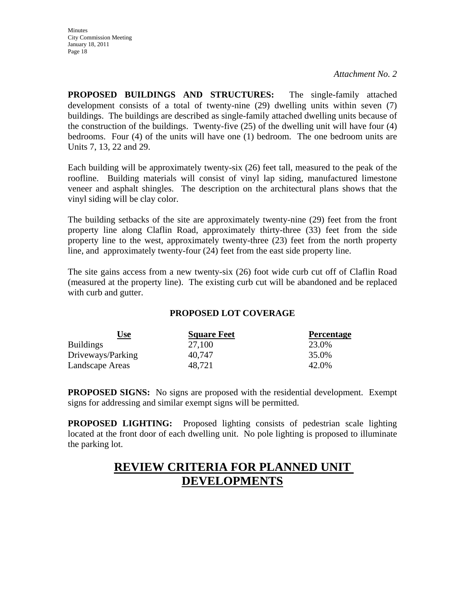**PROPOSED BUILDINGS AND STRUCTURES:** The single-family attached development consists of a total of twenty-nine (29) dwelling units within seven (7) buildings. The buildings are described as single-family attached dwelling units because of the construction of the buildings. Twenty-five (25) of the dwelling unit will have four (4) bedrooms. Four (4) of the units will have one (1) bedroom. The one bedroom units are Units 7, 13, 22 and 29.

Each building will be approximately twenty-six (26) feet tall, measured to the peak of the roofline. Building materials will consist of vinyl lap siding, manufactured limestone veneer and asphalt shingles. The description on the architectural plans shows that the vinyl siding will be clay color.

The building setbacks of the site are approximately twenty-nine (29) feet from the front property line along Claflin Road, approximately thirty-three (33) feet from the side property line to the west, approximately twenty-three (23) feet from the north property line, and approximately twenty-four (24) feet from the east side property line.

The site gains access from a new twenty-six (26) foot wide curb cut off of Claflin Road (measured at the property line). The existing curb cut will be abandoned and be replaced with curb and gutter.

# **PROPOSED LOT COVERAGE**

| <u>Use</u>        | <b>Square Feet</b> | <b>Percentage</b> |
|-------------------|--------------------|-------------------|
| <b>Buildings</b>  | 27,100             | 23.0%             |
| Driveways/Parking | 40.747             | 35.0%             |
| Landscape Areas   | 48,721             | 42.0%             |

**PROPOSED SIGNS:** No signs are proposed with the residential development. Exempt signs for addressing and similar exempt signs will be permitted.

**PROPOSED LIGHTING:** Proposed lighting consists of pedestrian scale lighting located at the front door of each dwelling unit. No pole lighting is proposed to illuminate the parking lot.

# **REVIEW CRITERIA FOR PLANNED UNIT DEVELOPMENTS**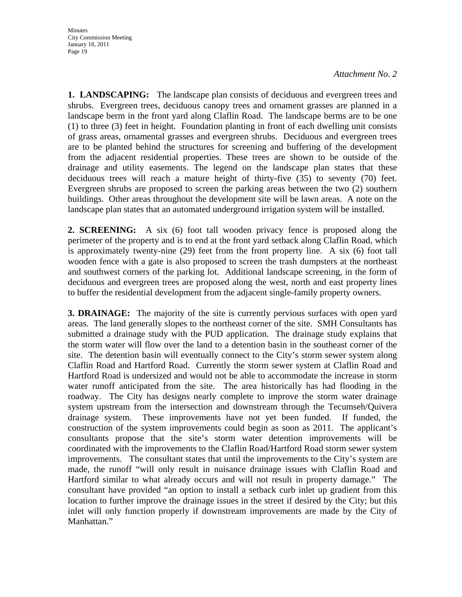**1. LANDSCAPING:** The landscape plan consists of deciduous and evergreen trees and shrubs. Evergreen trees, deciduous canopy trees and ornament grasses are planned in a landscape berm in the front yard along Claflin Road. The landscape berms are to be one (1) to three (3) feet in height. Foundation planting in front of each dwelling unit consists of grass areas, ornamental grasses and evergreen shrubs. Deciduous and evergreen trees are to be planted behind the structures for screening and buffering of the development from the adjacent residential properties. These trees are shown to be outside of the drainage and utility easements. The legend on the landscape plan states that these deciduous trees will reach a mature height of thirty-five (35) to seventy (70) feet. Evergreen shrubs are proposed to screen the parking areas between the two (2) southern buildings. Other areas throughout the development site will be lawn areas. A note on the landscape plan states that an automated underground irrigation system will be installed.

**2. SCREENING:** A six (6) foot tall wooden privacy fence is proposed along the perimeter of the property and is to end at the front yard setback along Claflin Road, which is approximately twenty-nine (29) feet from the front property line. A six (6) foot tall wooden fence with a gate is also proposed to screen the trash dumpsters at the northeast and southwest corners of the parking lot. Additional landscape screening, in the form of deciduous and evergreen trees are proposed along the west, north and east property lines to buffer the residential development from the adjacent single-family property owners.

**3. DRAINAGE:** The majority of the site is currently pervious surfaces with open yard areas. The land generally slopes to the northeast corner of the site. SMH Consultants has submitted a drainage study with the PUD application. The drainage study explains that the storm water will flow over the land to a detention basin in the southeast corner of the site. The detention basin will eventually connect to the City's storm sewer system along Claflin Road and Hartford Road. Currently the storm sewer system at Claflin Road and Hartford Road is undersized and would not be able to accommodate the increase in storm water runoff anticipated from the site. The area historically has had flooding in the roadway. The City has designs nearly complete to improve the storm water drainage system upstream from the intersection and downstream through the Tecumseh/Quivera drainage system. These improvements have not yet been funded. If funded, the construction of the system improvements could begin as soon as 2011. The applicant's consultants propose that the site's storm water detention improvements will be coordinated with the improvements to the Claflin Road/Hartford Road storm sewer system improvements. The consultant states that until the improvements to the City's system are made, the runoff "will only result in nuisance drainage issues with Claflin Road and Hartford similar to what already occurs and will not result in property damage." The consultant have provided "an option to install a setback curb inlet up gradient from this location to further improve the drainage issues in the street if desired by the City; but this inlet will only function properly if downstream improvements are made by the City of Manhattan."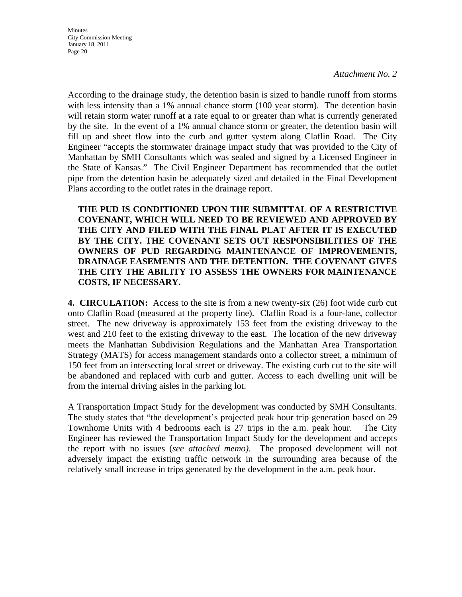*Attachment No. 2* 

According to the drainage study, the detention basin is sized to handle runoff from storms with less intensity than a 1% annual chance storm (100 year storm). The detention basin will retain storm water runoff at a rate equal to or greater than what is currently generated by the site. In the event of a 1% annual chance storm or greater, the detention basin will fill up and sheet flow into the curb and gutter system along Claflin Road. The City Engineer "accepts the stormwater drainage impact study that was provided to the City of Manhattan by SMH Consultants which was sealed and signed by a Licensed Engineer in the State of Kansas." The Civil Engineer Department has recommended that the outlet pipe from the detention basin be adequately sized and detailed in the Final Development Plans according to the outlet rates in the drainage report.

**THE PUD IS CONDITIONED UPON THE SUBMITTAL OF A RESTRICTIVE COVENANT, WHICH WILL NEED TO BE REVIEWED AND APPROVED BY THE CITY AND FILED WITH THE FINAL PLAT AFTER IT IS EXECUTED BY THE CITY. THE COVENANT SETS OUT RESPONSIBILITIES OF THE OWNERS OF PUD REGARDING MAINTENANCE OF IMPROVEMENTS, DRAINAGE EASEMENTS AND THE DETENTION. THE COVENANT GIVES THE CITY THE ABILITY TO ASSESS THE OWNERS FOR MAINTENANCE COSTS, IF NECESSARY.** 

**4. CIRCULATION:** Access to the site is from a new twenty-six (26) foot wide curb cut onto Claflin Road (measured at the property line). Claflin Road is a four-lane, collector street. The new driveway is approximately 153 feet from the existing driveway to the west and 210 feet to the existing driveway to the east. The location of the new driveway meets the Manhattan Subdivision Regulations and the Manhattan Area Transportation Strategy (MATS) for access management standards onto a collector street, a minimum of 150 feet from an intersecting local street or driveway. The existing curb cut to the site will be abandoned and replaced with curb and gutter. Access to each dwelling unit will be from the internal driving aisles in the parking lot.

A Transportation Impact Study for the development was conducted by SMH Consultants. The study states that "the development's projected peak hour trip generation based on 29 Townhome Units with 4 bedrooms each is 27 trips in the a.m. peak hour. The City Engineer has reviewed the Transportation Impact Study for the development and accepts the report with no issues (*see attached memo)*. The proposed development will not adversely impact the existing traffic network in the surrounding area because of the relatively small increase in trips generated by the development in the a.m. peak hour.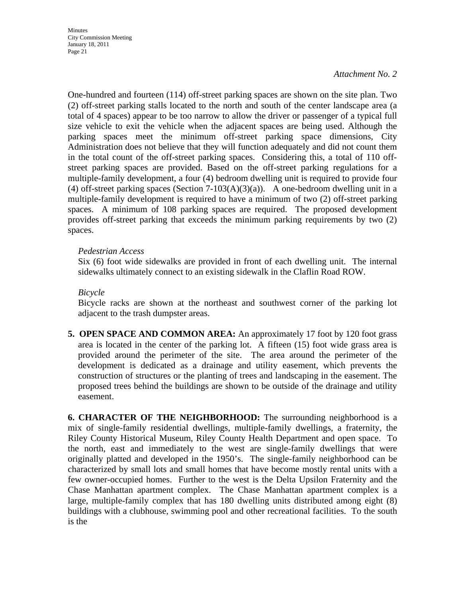### *Attachment No. 2*

One-hundred and fourteen (114) off-street parking spaces are shown on the site plan. Two (2) off-street parking stalls located to the north and south of the center landscape area (a total of 4 spaces) appear to be too narrow to allow the driver or passenger of a typical full size vehicle to exit the vehicle when the adjacent spaces are being used. Although the parking spaces meet the minimum off-street parking space dimensions, City Administration does not believe that they will function adequately and did not count them in the total count of the off-street parking spaces. Considering this, a total of 110 offstreet parking spaces are provided. Based on the off-street parking regulations for a multiple-family development, a four (4) bedroom dwelling unit is required to provide four (4) off-street parking spaces (Section  $7-103(A)(3)(a)$ ). A one-bedroom dwelling unit in a multiple-family development is required to have a minimum of two (2) off-street parking spaces. A minimum of 108 parking spaces are required. The proposed development provides off-street parking that exceeds the minimum parking requirements by two (2) spaces.

### *Pedestrian Access*

 Six (6) foot wide sidewalks are provided in front of each dwelling unit. The internal sidewalks ultimately connect to an existing sidewalk in the Claflin Road ROW.

# *Bicycle*

 Bicycle racks are shown at the northeast and southwest corner of the parking lot adjacent to the trash dumpster areas.

**5. OPEN SPACE AND COMMON AREA:** An approximately 17 foot by 120 foot grass area is located in the center of the parking lot. A fifteen (15) foot wide grass area is provided around the perimeter of the site. The area around the perimeter of the development is dedicated as a drainage and utility easement, which prevents the construction of structures or the planting of trees and landscaping in the easement. The proposed trees behind the buildings are shown to be outside of the drainage and utility easement.

**6. CHARACTER OF THE NEIGHBORHOOD:** The surrounding neighborhood is a mix of single-family residential dwellings, multiple-family dwellings, a fraternity, the Riley County Historical Museum, Riley County Health Department and open space. To the north, east and immediately to the west are single-family dwellings that were originally platted and developed in the 1950's. The single-family neighborhood can be characterized by small lots and small homes that have become mostly rental units with a few owner-occupied homes. Further to the west is the Delta Upsilon Fraternity and the Chase Manhattan apartment complex. The Chase Manhattan apartment complex is a large, multiple-family complex that has 180 dwelling units distributed among eight (8) buildings with a clubhouse, swimming pool and other recreational facilities. To the south is the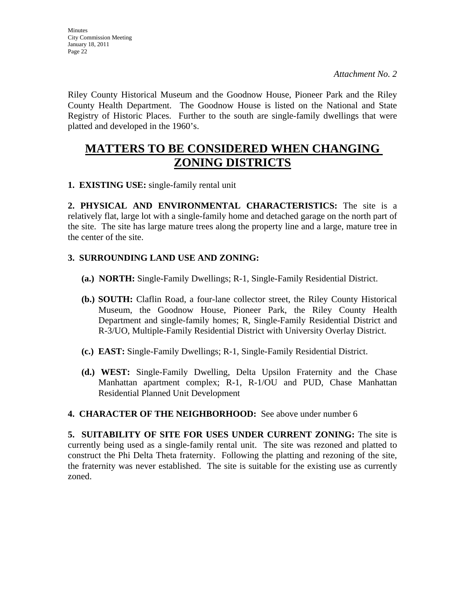Riley County Historical Museum and the Goodnow House, Pioneer Park and the Riley County Health Department. The Goodnow House is listed on the National and State Registry of Historic Places. Further to the south are single-family dwellings that were platted and developed in the 1960's.

# **MATTERS TO BE CONSIDERED WHEN CHANGING ZONING DISTRICTS**

**1. EXISTING USE:** single-family rental unit

**2. PHYSICAL AND ENVIRONMENTAL CHARACTERISTICS:** The site is a relatively flat, large lot with a single-family home and detached garage on the north part of the site. The site has large mature trees along the property line and a large, mature tree in the center of the site.

# **3. SURROUNDING LAND USE AND ZONING:**

- **(a.) NORTH:** Single-Family Dwellings; R-1, Single-Family Residential District.
- **(b.) SOUTH:** Claflin Road, a four-lane collector street, the Riley County Historical Museum, the Goodnow House, Pioneer Park, the Riley County Health Department and single-family homes; R, Single-Family Residential District and R-3/UO, Multiple-Family Residential District with University Overlay District.
- **(c.) EAST:** Single-Family Dwellings; R-1, Single-Family Residential District.
- **(d.) WEST:** Single-Family Dwelling, Delta Upsilon Fraternity and the Chase Manhattan apartment complex; R-1, R-1/OU and PUD, Chase Manhattan Residential Planned Unit Development

# **4. CHARACTER OF THE NEIGHBORHOOD:** See above under number 6

**5. SUITABILITY OF SITE FOR USES UNDER CURRENT ZONING:** The site is currently being used as a single-family rental unit. The site was rezoned and platted to construct the Phi Delta Theta fraternity. Following the platting and rezoning of the site, the fraternity was never established. The site is suitable for the existing use as currently zoned.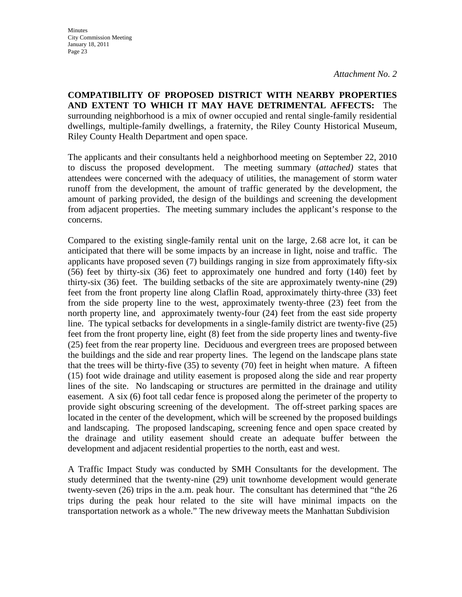**COMPATIBILITY OF PROPOSED DISTRICT WITH NEARBY PROPERTIES AND EXTENT TO WHICH IT MAY HAVE DETRIMENTAL AFFECTS:** The surrounding neighborhood is a mix of owner occupied and rental single-family residential dwellings, multiple-family dwellings, a fraternity, the Riley County Historical Museum, Riley County Health Department and open space.

The applicants and their consultants held a neighborhood meeting on September 22, 2010 to discuss the proposed development. The meeting summary (*attached)* states that attendees were concerned with the adequacy of utilities, the management of storm water runoff from the development, the amount of traffic generated by the development, the amount of parking provided, the design of the buildings and screening the development from adjacent properties. The meeting summary includes the applicant's response to the concerns.

Compared to the existing single-family rental unit on the large, 2.68 acre lot, it can be anticipated that there will be some impacts by an increase in light, noise and traffic. The applicants have proposed seven (7) buildings ranging in size from approximately fifty-six (56) feet by thirty-six (36) feet to approximately one hundred and forty (140) feet by thirty-six (36) feet. The building setbacks of the site are approximately twenty-nine (29) feet from the front property line along Claflin Road, approximately thirty-three (33) feet from the side property line to the west, approximately twenty-three (23) feet from the north property line, and approximately twenty-four (24) feet from the east side property line. The typical setbacks for developments in a single-family district are twenty-five (25) feet from the front property line, eight (8) feet from the side property lines and twenty-five (25) feet from the rear property line. Deciduous and evergreen trees are proposed between the buildings and the side and rear property lines. The legend on the landscape plans state that the trees will be thirty-five (35) to seventy (70) feet in height when mature. A fifteen (15) foot wide drainage and utility easement is proposed along the side and rear property lines of the site. No landscaping or structures are permitted in the drainage and utility easement. A six (6) foot tall cedar fence is proposed along the perimeter of the property to provide sight obscuring screening of the development. The off-street parking spaces are located in the center of the development, which will be screened by the proposed buildings and landscaping. The proposed landscaping, screening fence and open space created by the drainage and utility easement should create an adequate buffer between the development and adjacent residential properties to the north, east and west.

A Traffic Impact Study was conducted by SMH Consultants for the development. The study determined that the twenty-nine (29) unit townhome development would generate twenty-seven (26) trips in the a.m. peak hour. The consultant has determined that "the 26 trips during the peak hour related to the site will have minimal impacts on the transportation network as a whole." The new driveway meets the Manhattan Subdivision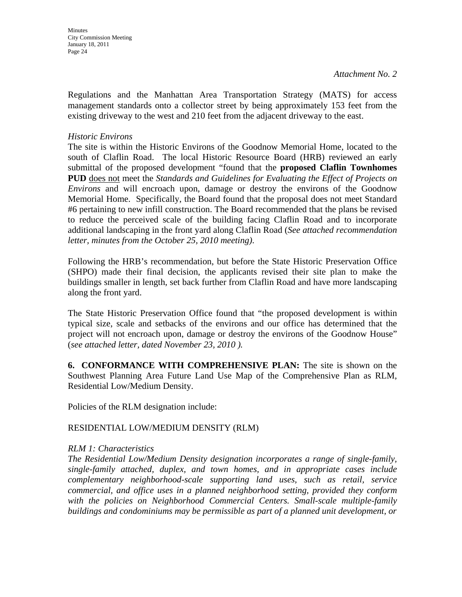Regulations and the Manhattan Area Transportation Strategy (MATS) for access management standards onto a collector street by being approximately 153 feet from the existing driveway to the west and 210 feet from the adjacent driveway to the east.

## *Historic Environs*

The site is within the Historic Environs of the Goodnow Memorial Home, located to the south of Claflin Road. The local Historic Resource Board (HRB) reviewed an early submittal of the proposed development "found that the **proposed Claflin Townhomes PUD** does not meet the *Standards and Guidelines for Evaluating the Effect of Projects on Environs* and will encroach upon, damage or destroy the environs of the Goodnow Memorial Home. Specifically, the Board found that the proposal does not meet Standard #6 pertaining to new infill construction. The Board recommended that the plans be revised to reduce the perceived scale of the building facing Claflin Road and to incorporate additional landscaping in the front yard along Claflin Road (*See attached recommendation letter, minutes from the October 25, 2010 meeting)*.

Following the HRB's recommendation, but before the State Historic Preservation Office (SHPO) made their final decision, the applicants revised their site plan to make the buildings smaller in length, set back further from Claflin Road and have more landscaping along the front yard.

The State Historic Preservation Office found that "the proposed development is within typical size, scale and setbacks of the environs and our office has determined that the project will not encroach upon, damage or destroy the environs of the Goodnow House" (*see attached letter, dated November 23, 2010 ).* 

**6. CONFORMANCE WITH COMPREHENSIVE PLAN:** The site is shown on the Southwest Planning Area Future Land Use Map of the Comprehensive Plan as RLM, Residential Low/Medium Density.

Policies of the RLM designation include:

# RESIDENTIAL LOW/MEDIUM DENSITY (RLM)

### *RLM 1: Characteristics*

*The Residential Low/Medium Density designation incorporates a range of single-family, single-family attached, duplex, and town homes, and in appropriate cases include complementary neighborhood-scale supporting land uses, such as retail, service commercial, and office uses in a planned neighborhood setting, provided they conform*  with the policies on Neighborhood Commercial Centers. Small-scale multiple-family *buildings and condominiums may be permissible as part of a planned unit development, or*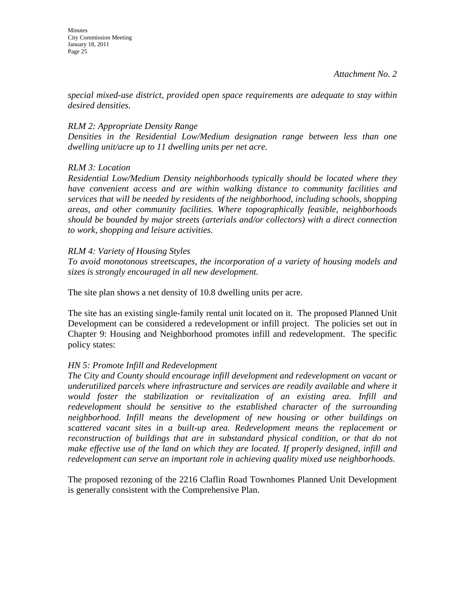*special mixed-use district, provided open space requirements are adequate to stay within desired densities.* 

# *RLM 2: Appropriate Density Range*

*Densities in the Residential Low/Medium designation range between less than one dwelling unit/acre up to 11 dwelling units per net acre.* 

# *RLM 3: Location*

*Residential Low/Medium Density neighborhoods typically should be located where they have convenient access and are within walking distance to community facilities and services that will be needed by residents of the neighborhood, including schools, shopping areas, and other community facilities. Where topographically feasible, neighborhoods should be bounded by major streets (arterials and/or collectors) with a direct connection to work, shopping and leisure activities.* 

# *RLM 4: Variety of Housing Styles*

*To avoid monotonous streetscapes, the incorporation of a variety of housing models and sizes is strongly encouraged in all new development.* 

The site plan shows a net density of 10.8 dwelling units per acre.

The site has an existing single-family rental unit located on it. The proposed Planned Unit Development can be considered a redevelopment or infill project. The policies set out in Chapter 9: Housing and Neighborhood promotes infill and redevelopment. The specific policy states:

# *HN 5: Promote Infill and Redevelopment*

*The City and County should encourage infill development and redevelopment on vacant or underutilized parcels where infrastructure and services are readily available and where it would foster the stabilization or revitalization of an existing area. Infill and redevelopment should be sensitive to the established character of the surrounding neighborhood. Infill means the development of new housing or other buildings on scattered vacant sites in a built-up area. Redevelopment means the replacement or reconstruction of buildings that are in substandard physical condition, or that do not make effective use of the land on which they are located. If properly designed, infill and redevelopment can serve an important role in achieving quality mixed use neighborhoods.* 

The proposed rezoning of the 2216 Claflin Road Townhomes Planned Unit Development is generally consistent with the Comprehensive Plan.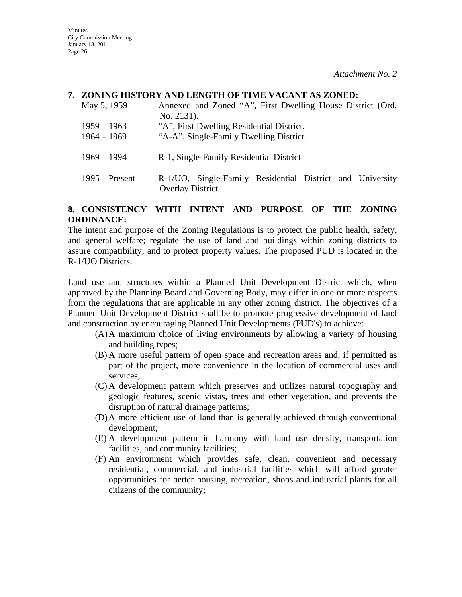### **7. ZONING HISTORY AND LENGTH OF TIME VACANT AS ZONED:**

| May 5, 1959                    | Annexed and Zoned "A", First Dwelling House District (Ord.<br>No. 2131).             |
|--------------------------------|--------------------------------------------------------------------------------------|
| $1959 - 1963$<br>$1964 - 1969$ | "A", First Dwelling Residential District.<br>"A-A", Single-Family Dwelling District. |
| $1969 - 1994$                  | R-1, Single-Family Residential District                                              |
| $1995 -$ Present               | R-1/UO, Single-Family Residential District and University<br>Overlay District.       |

### **8. CONSISTENCY WITH INTENT AND PURPOSE OF THE ZONING ORDINANCE:**

The intent and purpose of the Zoning Regulations is to protect the public health, safety, and general welfare; regulate the use of land and buildings within zoning districts to assure compatibility; and to protect property values. The proposed PUD is located in the R-1/UO Districts.

Land use and structures within a Planned Unit Development District which, when approved by the Planning Board and Governing Body, may differ in one or more respects from the regulations that are applicable in any other zoning district. The objectives of a Planned Unit Development District shall be to promote progressive development of land and construction by encouraging Planned Unit Developments (PUD's) to achieve:

- (A)A maximum choice of living environments by allowing a variety of housing and building types;
- (B) A more useful pattern of open space and recreation areas and, if permitted as part of the project, more convenience in the location of commercial uses and services;
- (C) A development pattern which preserves and utilizes natural topography and geologic features, scenic vistas, trees and other vegetation, and prevents the disruption of natural drainage patterns;
- (D)A more efficient use of land than is generally achieved through conventional development;
- (E) A development pattern in harmony with land use density, transportation facilities, and community facilities;
- (F) An environment which provides safe, clean, convenient and necessary residential, commercial, and industrial facilities which will afford greater opportunities for better housing, recreation, shops and industrial plants for all citizens of the community;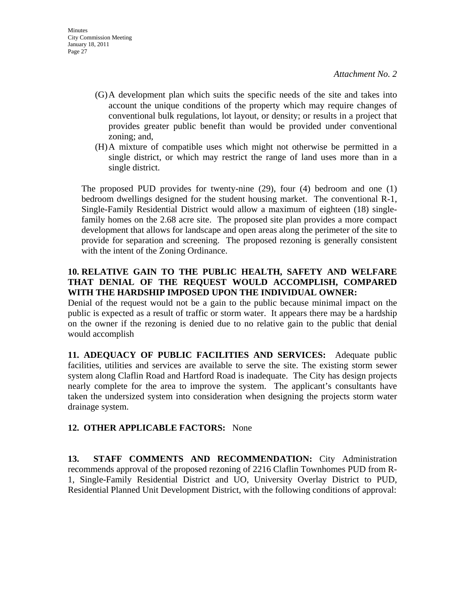- (G)A development plan which suits the specific needs of the site and takes into account the unique conditions of the property which may require changes of conventional bulk regulations, lot layout, or density; or results in a project that provides greater public benefit than would be provided under conventional zoning; and,
- (H)A mixture of compatible uses which might not otherwise be permitted in a single district, or which may restrict the range of land uses more than in a single district.

The proposed PUD provides for twenty-nine (29), four (4) bedroom and one (1) bedroom dwellings designed for the student housing market. The conventional R-1, Single-Family Residential District would allow a maximum of eighteen (18) singlefamily homes on the 2.68 acre site. The proposed site plan provides a more compact development that allows for landscape and open areas along the perimeter of the site to provide for separation and screening. The proposed rezoning is generally consistent with the intent of the Zoning Ordinance.

# **10. RELATIVE GAIN TO THE PUBLIC HEALTH, SAFETY AND WELFARE THAT DENIAL OF THE REQUEST WOULD ACCOMPLISH, COMPARED WITH THE HARDSHIP IMPOSED UPON THE INDIVIDUAL OWNER:**

Denial of the request would not be a gain to the public because minimal impact on the public is expected as a result of traffic or storm water. It appears there may be a hardship on the owner if the rezoning is denied due to no relative gain to the public that denial would accomplish

**11. ADEQUACY OF PUBLIC FACILITIES AND SERVICES:** Adequate public facilities, utilities and services are available to serve the site. The existing storm sewer system along Claflin Road and Hartford Road is inadequate. The City has design projects nearly complete for the area to improve the system. The applicant's consultants have taken the undersized system into consideration when designing the projects storm water drainage system.

# **12. OTHER APPLICABLE FACTORS:** None

**13. STAFF COMMENTS AND RECOMMENDATION:** City Administration recommends approval of the proposed rezoning of 2216 Claflin Townhomes PUD from R-1, Single-Family Residential District and UO, University Overlay District to PUD, Residential Planned Unit Development District, with the following conditions of approval: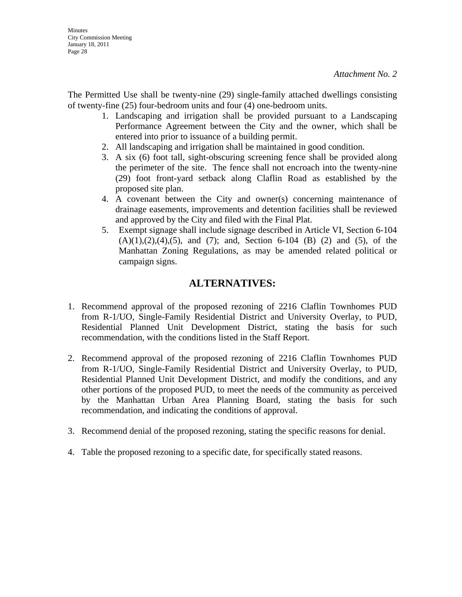The Permitted Use shall be twenty-nine (29) single-family attached dwellings consisting of twenty-fine (25) four-bedroom units and four (4) one-bedroom units.

- 1. Landscaping and irrigation shall be provided pursuant to a Landscaping Performance Agreement between the City and the owner, which shall be entered into prior to issuance of a building permit.
- 2. All landscaping and irrigation shall be maintained in good condition.
- 3. A six (6) foot tall, sight-obscuring screening fence shall be provided along the perimeter of the site. The fence shall not encroach into the twenty-nine (29) foot front-yard setback along Claflin Road as established by the proposed site plan.
- 4. A covenant between the City and owner(s) concerning maintenance of drainage easements, improvements and detention facilities shall be reviewed and approved by the City and filed with the Final Plat.
- 5. Exempt signage shall include signage described in Article VI, Section 6-104  $(A)(1),(2),(4),(5)$ , and  $(7)$ ; and, Section 6-104 (B) (2) and (5), of the Manhattan Zoning Regulations, as may be amended related political or campaign signs.

# **ALTERNATIVES:**

- 1. Recommend approval of the proposed rezoning of 2216 Claflin Townhomes PUD from R-1/UO, Single-Family Residential District and University Overlay, to PUD, Residential Planned Unit Development District, stating the basis for such recommendation, with the conditions listed in the Staff Report.
- 2. Recommend approval of the proposed rezoning of 2216 Claflin Townhomes PUD from R-1/UO, Single-Family Residential District and University Overlay, to PUD, Residential Planned Unit Development District, and modify the conditions, and any other portions of the proposed PUD, to meet the needs of the community as perceived by the Manhattan Urban Area Planning Board, stating the basis for such recommendation, and indicating the conditions of approval.
- 3. Recommend denial of the proposed rezoning, stating the specific reasons for denial.
- 4. Table the proposed rezoning to a specific date, for specifically stated reasons.